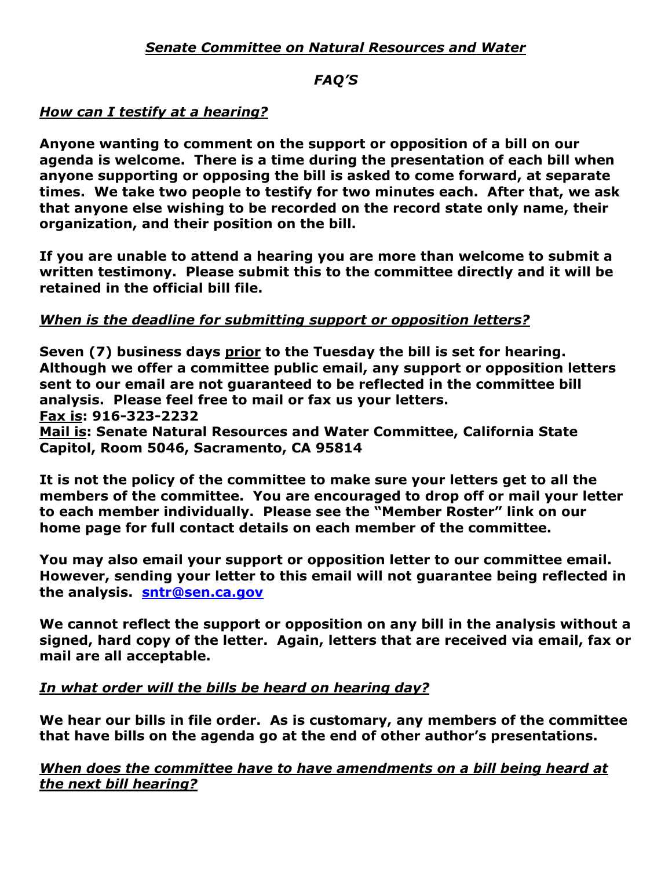# *FAQ'S*

# *How can I testify at a hearing?*

**Anyone wanting to comment on the support or opposition of a bill on our agenda is welcome. There is a time during the presentation of each bill when anyone supporting or opposing the bill is asked to come forward, at separate times. We take two people to testify for two minutes each. After that, we ask that anyone else wishing to be recorded on the record state only name, their organization, and their position on the bill.**

**If you are unable to attend a hearing you are more than welcome to submit a written testimony. Please submit this to the committee directly and it will be retained in the official bill file.** 

# *When is the deadline for submitting support or opposition letters?*

**Seven (7) business days prior to the Tuesday the bill is set for hearing. Although we offer a committee public email, any support or opposition letters sent to our email are not guaranteed to be reflected in the committee bill analysis. Please feel free to mail or fax us your letters. Fax is: 916-323-2232**

**Mail is: Senate Natural Resources and Water Committee, California State Capitol, Room 5046, Sacramento, CA 95814**

**It is not the policy of the committee to make sure your letters get to all the members of the committee. You are encouraged to drop off or mail your letter to each member individually. Please see the "Member Roster" link on our home page for full contact details on each member of the committee.**

**You may also email your support or opposition letter to our committee email. However, sending your letter to this email will not guarantee being reflected in the analysis. [sntr@sen.ca.gov](mailto:sntr@sen.ca.gov)**

**We cannot reflect the support or opposition on any bill in the analysis without a signed, hard copy of the letter. Again, letters that are received via email, fax or mail are all acceptable.** 

# *In what order will the bills be heard on hearing day?*

**We hear our bills in file order. As is customary, any members of the committee that have bills on the agenda go at the end of other author's presentations.** 

*When does the committee have to have amendments on a bill being heard at the next bill hearing?*